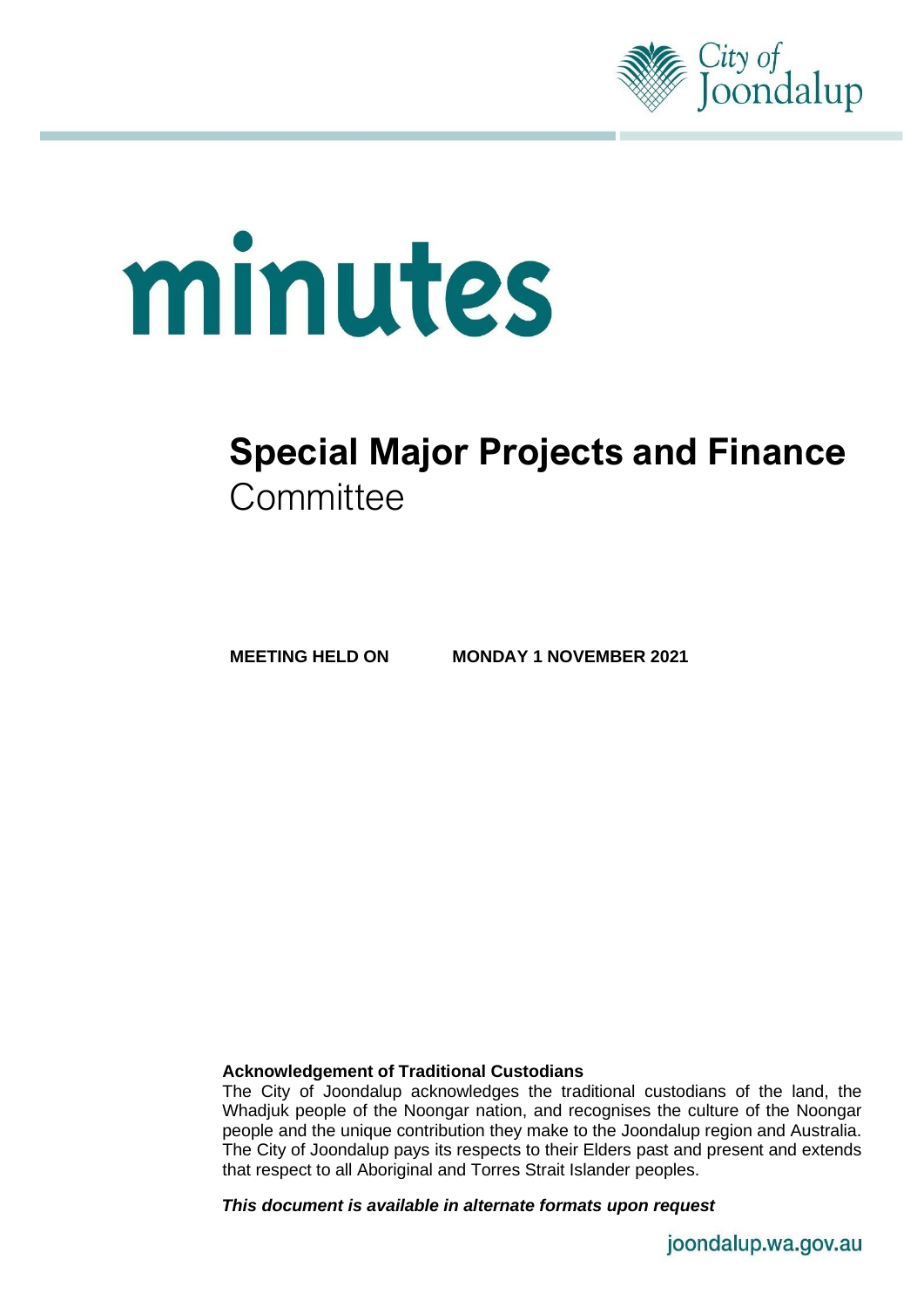

# minutes

# **Special Major Projects and Finance Committee**

**MEETING HELD ON MONDAY 1 NOVEMBER 2021**

### **Acknowledgement of Traditional Custodians**

The City of Joondalup acknowledges the traditional custodians of the land, the Whadjuk people of the Noongar nation, and recognises the culture of the Noongar people and the unique contribution they make to the Joondalup region and Australia. The City of Joondalup pays its respects to their Elders past and present and extends that respect to all Aboriginal and Torres Strait Islander peoples.

*This document is available in alternate formats upon request*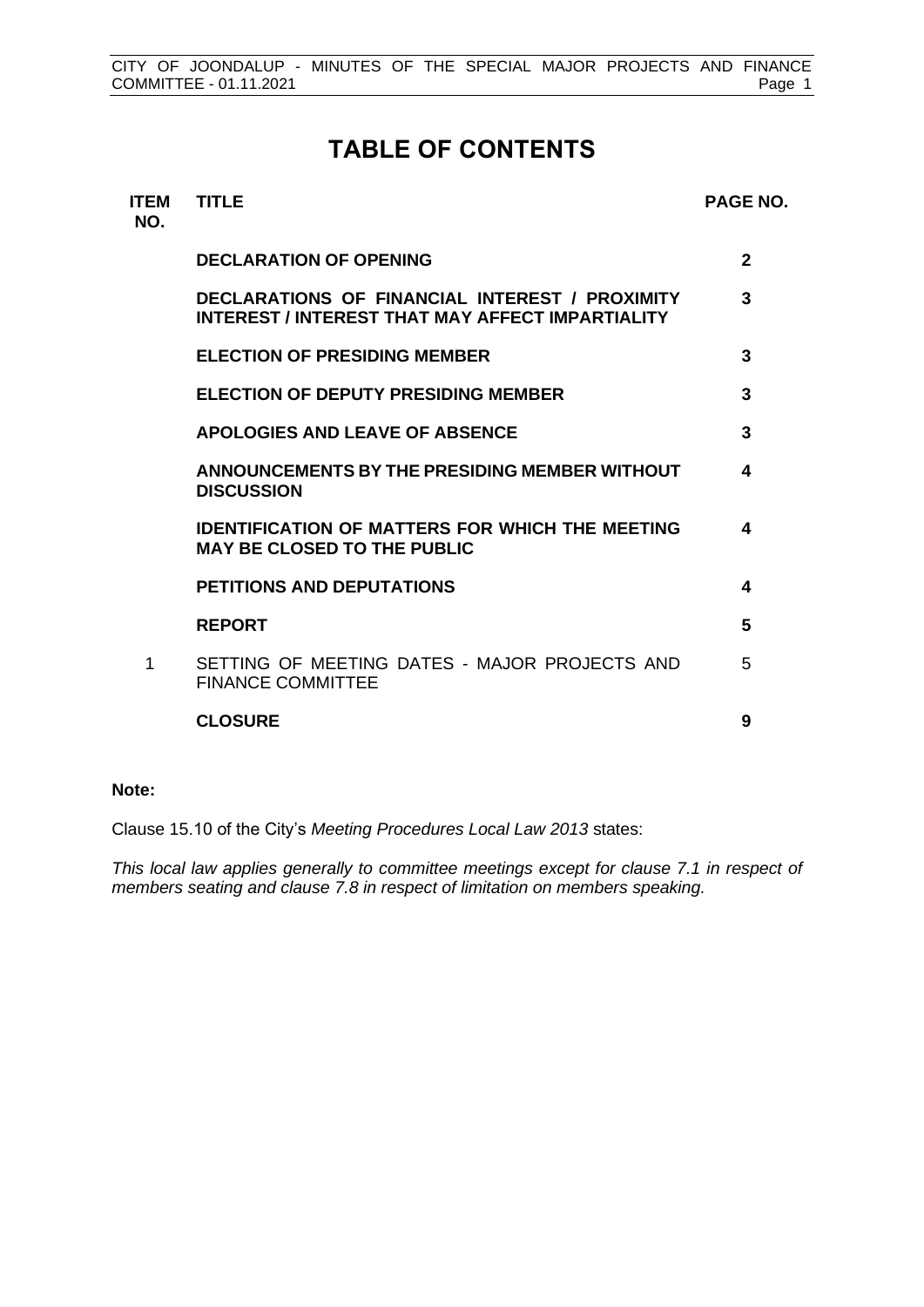# **TABLE OF CONTENTS**

| <b>ITEM</b><br>NO. | <b>TITLE</b>                                                                                       | <b>PAGE NO.</b> |
|--------------------|----------------------------------------------------------------------------------------------------|-----------------|
|                    | <b>DECLARATION OF OPENING</b>                                                                      | $\mathfrak{p}$  |
|                    | DECLARATIONS OF FINANCIAL INTEREST / PROXIMITY<br>INTEREST / INTEREST THAT MAY AFFECT IMPARTIALITY | 3               |
|                    | <b>ELECTION OF PRESIDING MEMBER</b>                                                                | 3               |
|                    | <b>ELECTION OF DEPUTY PRESIDING MEMBER</b>                                                         | 3               |
|                    | <b>APOLOGIES AND LEAVE OF ABSENCE</b>                                                              | 3               |
|                    | ANNOUNCEMENTS BY THE PRESIDING MEMBER WITHOUT<br><b>DISCUSSION</b>                                 | 4               |
|                    | <b>IDENTIFICATION OF MATTERS FOR WHICH THE MEETING</b><br><b>MAY BE CLOSED TO THE PUBLIC</b>       | 4               |
|                    | <b>PETITIONS AND DEPUTATIONS</b>                                                                   | 4               |
|                    | <b>REPORT</b>                                                                                      | 5               |
| 1                  | SETTING OF MEETING DATES - MAJOR PROJECTS AND<br><b>FINANCE COMMITTEE</b>                          | 5               |
|                    | <b>CLOSURE</b>                                                                                     | 9               |

### **Note:**

Clause 15.10 of the City's *Meeting Procedures Local Law 2013* states:

*This local law applies generally to committee meetings except for clause 7.1 in respect of members seating and clause 7.8 in respect of limitation on members speaking.*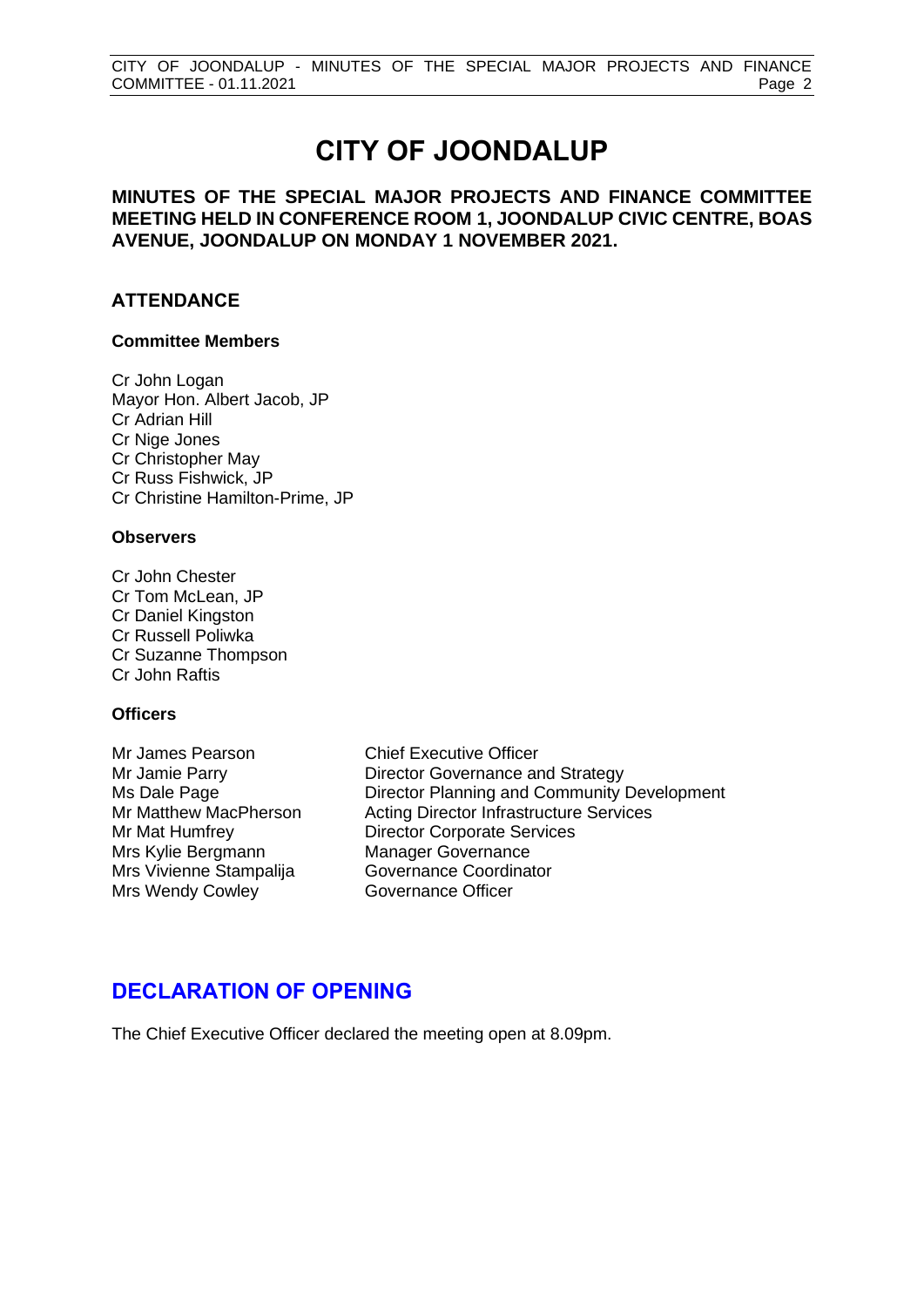# **CITY OF JOONDALUP**

**MINUTES OF THE SPECIAL MAJOR PROJECTS AND FINANCE COMMITTEE MEETING HELD IN CONFERENCE ROOM 1, JOONDALUP CIVIC CENTRE, BOAS AVENUE, JOONDALUP ON MONDAY 1 NOVEMBER 2021.**

### **ATTENDANCE**

### **Committee Members**

Cr John Logan Mayor Hon. Albert Jacob, JP Cr Adrian Hill Cr Nige Jones Cr Christopher May Cr Russ Fishwick, JP Cr Christine Hamilton-Prime, JP

### **Observers**

Cr John Chester Cr Tom McLean, JP Cr Daniel Kingston Cr Russell Poliwka Cr Suzanne Thompson Cr John Raftis

### **Officers**

Mrs Kylie Bergmann Manager Governance Mrs Vivienne Stampalija Governance Coordinator Mrs Wendy Cowley **Governance Officer** 

Mr James Pearson Chief Executive Officer Mr Jamie Parry **Director Governance and Strategy** Ms Dale Page **Director Planning and Community Development** Mr Matthew MacPherson Acting Director Infrastructure Services Mr Mat Humfrey Director Corporate Services

# <span id="page-2-0"></span>**DECLARATION OF OPENING**

The Chief Executive Officer declared the meeting open at 8.09pm.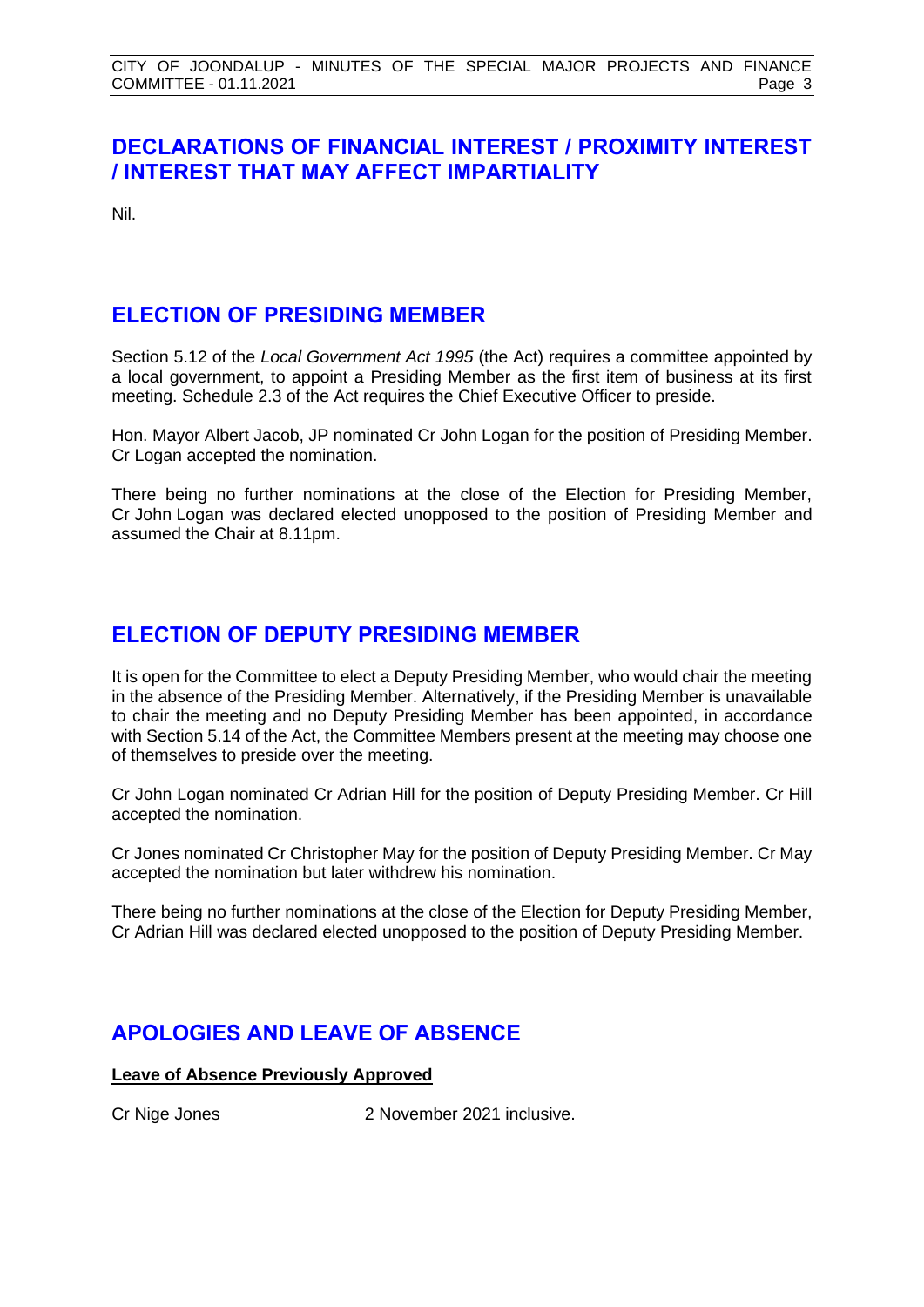# <span id="page-3-0"></span>**DECLARATIONS OF FINANCIAL INTEREST / PROXIMITY INTEREST / INTEREST THAT MAY AFFECT IMPARTIALITY**

Nil.

# <span id="page-3-1"></span>**ELECTION OF PRESIDING MEMBER**

Section 5.12 of the *Local Government Act 1995* (the Act) requires a committee appointed by a local government, to appoint a Presiding Member as the first item of business at its first meeting. Schedule 2.3 of the Act requires the Chief Executive Officer to preside.

Hon. Mayor Albert Jacob, JP nominated Cr John Logan for the position of Presiding Member. Cr Logan accepted the nomination.

There being no further nominations at the close of the Election for Presiding Member, Cr John Logan was declared elected unopposed to the position of Presiding Member and assumed the Chair at 8.11pm.

# <span id="page-3-2"></span>**ELECTION OF DEPUTY PRESIDING MEMBER**

It is open for the Committee to elect a Deputy Presiding Member, who would chair the meeting in the absence of the Presiding Member. Alternatively, if the Presiding Member is unavailable to chair the meeting and no Deputy Presiding Member has been appointed, in accordance with Section 5.14 of the Act, the Committee Members present at the meeting may choose one of themselves to preside over the meeting.

Cr John Logan nominated Cr Adrian Hill for the position of Deputy Presiding Member. Cr Hill accepted the nomination.

Cr Jones nominated Cr Christopher May for the position of Deputy Presiding Member. Cr May accepted the nomination but later withdrew his nomination.

There being no further nominations at the close of the Election for Deputy Presiding Member, Cr Adrian Hill was declared elected unopposed to the position of Deputy Presiding Member.

# <span id="page-3-3"></span>**APOLOGIES AND LEAVE OF ABSENCE**

**Leave of Absence Previously Approved**

Cr Nige Jones 2 November 2021 inclusive.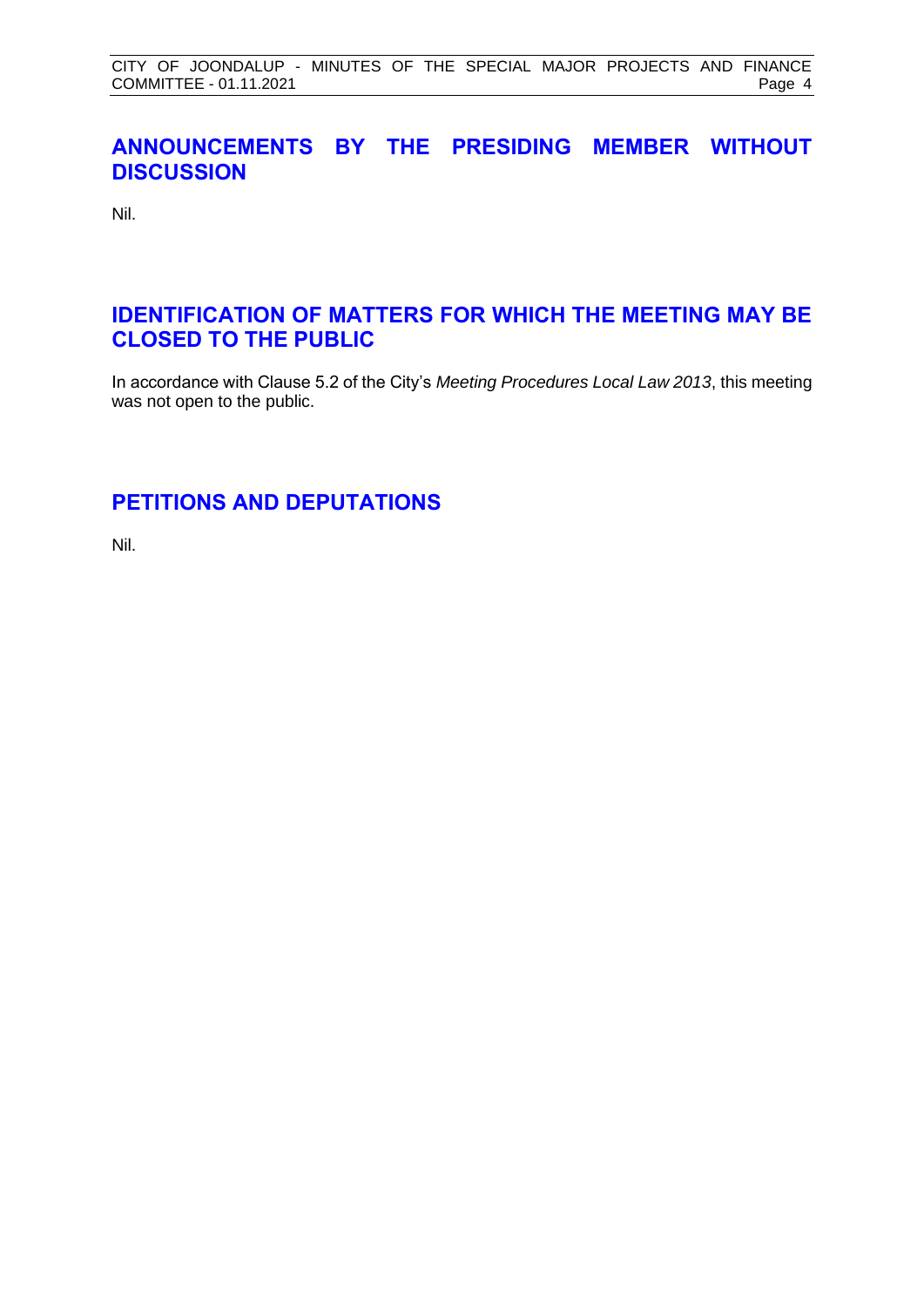# <span id="page-4-0"></span>**ANNOUNCEMENTS BY THE PRESIDING MEMBER WITHOUT DISCUSSION**

Nil.

# <span id="page-4-1"></span>**IDENTIFICATION OF MATTERS FOR WHICH THE MEETING MAY BE CLOSED TO THE PUBLIC**

In accordance with Clause 5.2 of the City's *Meeting Procedures Local Law 2013*, this meeting was not open to the public.

# <span id="page-4-2"></span>**PETITIONS AND DEPUTATIONS**

Nil.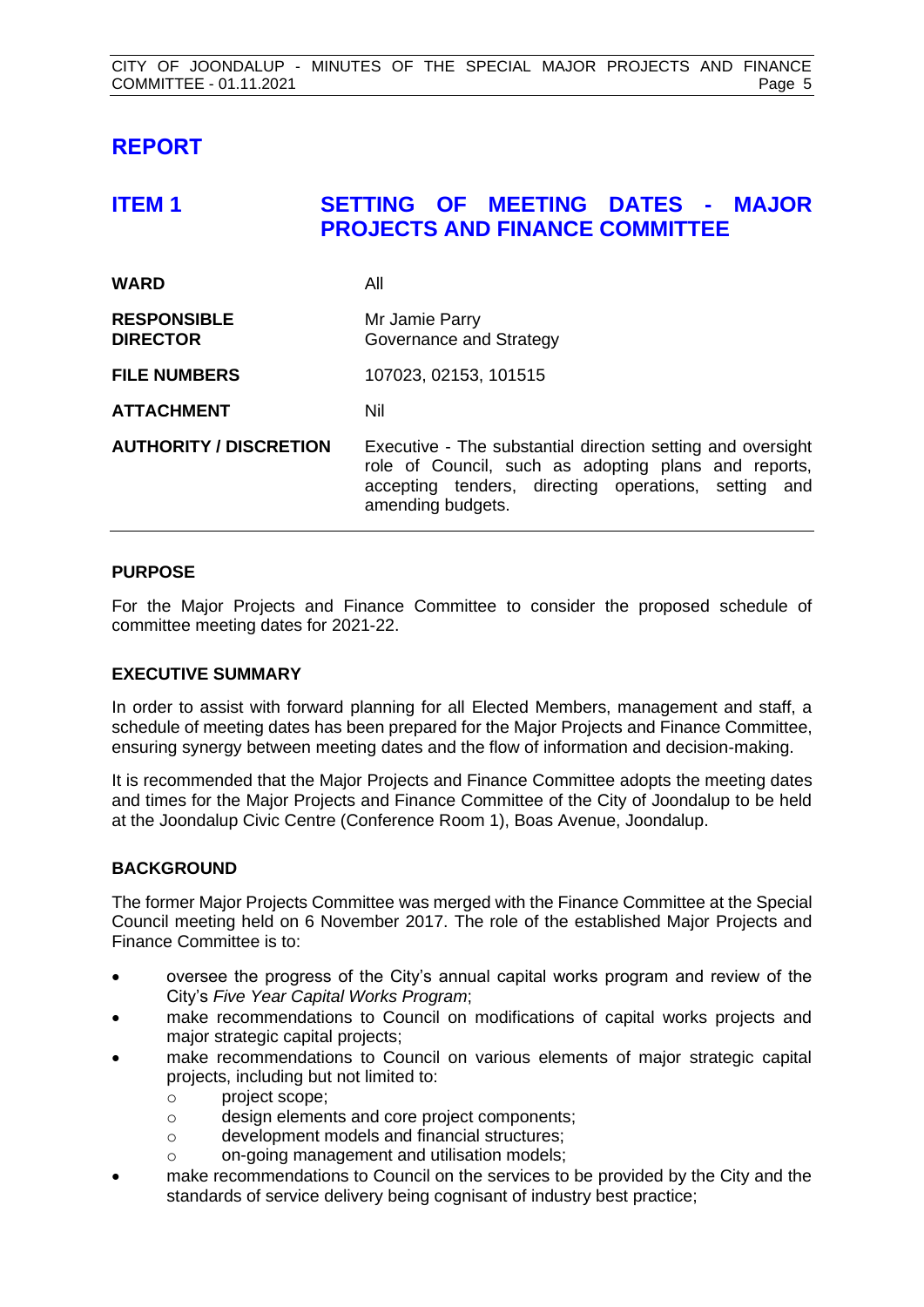# <span id="page-5-0"></span>**REPORT**

# <span id="page-5-1"></span>**ITEM 1 SETTING OF MEETING DATES - MAJOR PROJECTS AND FINANCE COMMITTEE**

| <b>WARD</b>                           | All                                                                                                                                                                                              |
|---------------------------------------|--------------------------------------------------------------------------------------------------------------------------------------------------------------------------------------------------|
| <b>RESPONSIBLE</b><br><b>DIRECTOR</b> | Mr Jamie Parry<br>Governance and Strategy                                                                                                                                                        |
| <b>FILE NUMBERS</b>                   | 107023, 02153, 101515                                                                                                                                                                            |
| <b>ATTACHMENT</b>                     | Nil                                                                                                                                                                                              |
| <b>AUTHORITY / DISCRETION</b>         | Executive - The substantial direction setting and oversight<br>role of Council, such as adopting plans and reports,<br>accepting tenders, directing operations, setting and<br>amending budgets. |

### **PURPOSE**

For the Major Projects and Finance Committee to consider the proposed schedule of committee meeting dates for 2021-22.

### **EXECUTIVE SUMMARY**

In order to assist with forward planning for all Elected Members, management and staff, a schedule of meeting dates has been prepared for the Major Projects and Finance Committee, ensuring synergy between meeting dates and the flow of information and decision-making.

It is recommended that the Major Projects and Finance Committee adopts the meeting dates and times for the Major Projects and Finance Committee of the City of Joondalup to be held at the Joondalup Civic Centre (Conference Room 1), Boas Avenue, Joondalup.

### **BACKGROUND**

The former Major Projects Committee was merged with the Finance Committee at the Special Council meeting held on 6 November 2017. The role of the established Major Projects and Finance Committee is to:

- oversee the progress of the City's annual capital works program and review of the City's *Five Year Capital Works Program*;
- make recommendations to Council on modifications of capital works projects and major strategic capital projects;
- make recommendations to Council on various elements of major strategic capital projects, including but not limited to:
	- o project scope;
	- o design elements and core project components;
	- o development models and financial structures;
	- o on-going management and utilisation models;
- make recommendations to Council on the services to be provided by the City and the standards of service delivery being cognisant of industry best practice;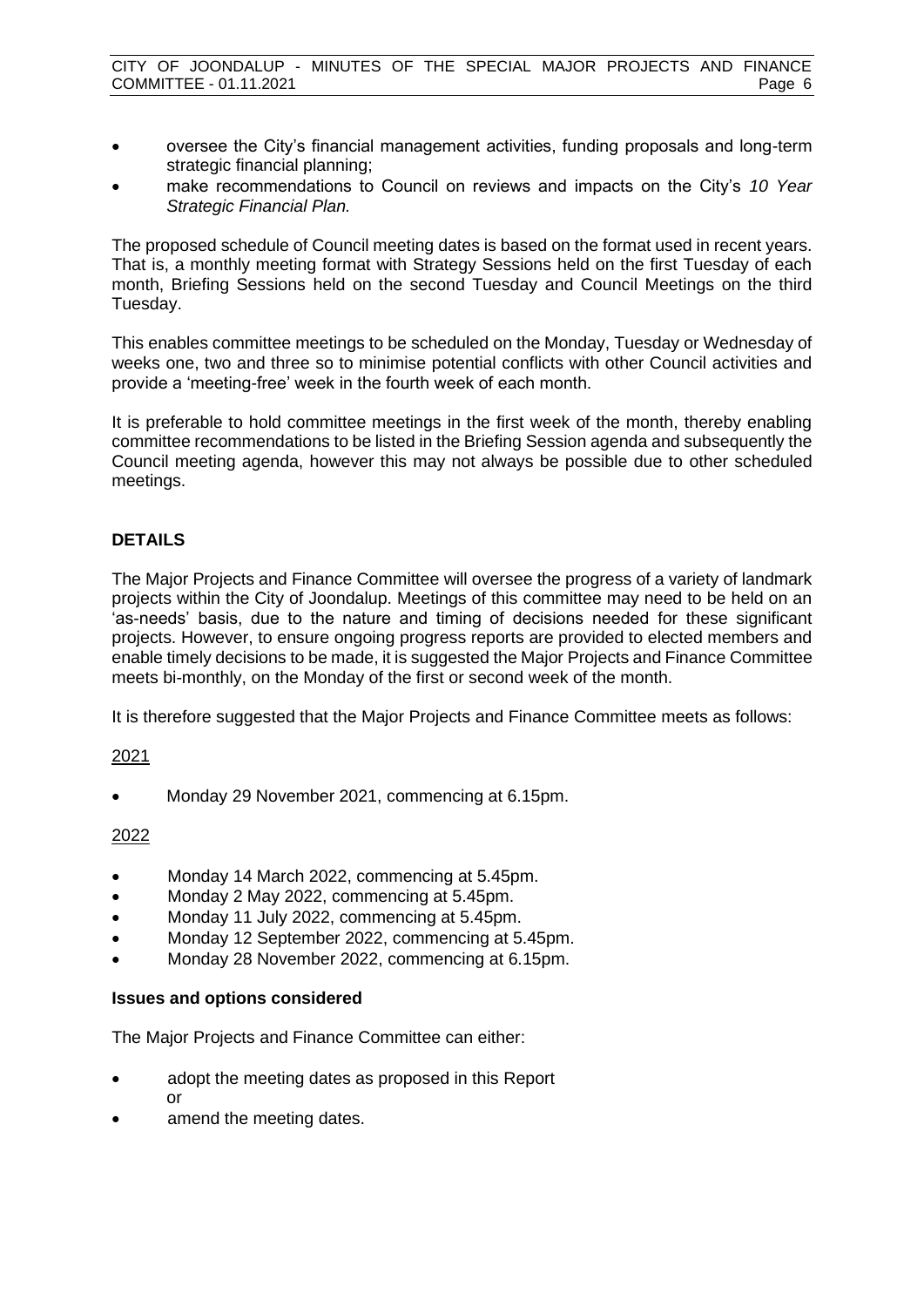- oversee the City's financial management activities, funding proposals and long-term strategic financial planning;
- make recommendations to Council on reviews and impacts on the City's *10 Year Strategic Financial Plan.*

The proposed schedule of Council meeting dates is based on the format used in recent years. That is, a monthly meeting format with Strategy Sessions held on the first Tuesday of each month, Briefing Sessions held on the second Tuesday and Council Meetings on the third Tuesday.

This enables committee meetings to be scheduled on the Monday, Tuesday or Wednesday of weeks one, two and three so to minimise potential conflicts with other Council activities and provide a 'meeting-free' week in the fourth week of each month.

It is preferable to hold committee meetings in the first week of the month, thereby enabling committee recommendations to be listed in the Briefing Session agenda and subsequently the Council meeting agenda, however this may not always be possible due to other scheduled meetings.

## **DETAILS**

The Major Projects and Finance Committee will oversee the progress of a variety of landmark projects within the City of Joondalup. Meetings of this committee may need to be held on an 'as-needs' basis, due to the nature and timing of decisions needed for these significant projects. However, to ensure ongoing progress reports are provided to elected members and enable timely decisions to be made, it is suggested the Major Projects and Finance Committee meets bi-monthly, on the Monday of the first or second week of the month.

It is therefore suggested that the Major Projects and Finance Committee meets as follows:

### 2021

• Monday 29 November 2021, commencing at 6.15pm.

### 2022

- Monday 14 March 2022, commencing at 5.45pm.
- Monday 2 May 2022, commencing at 5.45pm.
- Monday 11 July 2022, commencing at 5.45pm.
- Monday 12 September 2022, commencing at 5.45pm.
- Monday 28 November 2022, commencing at 6.15pm.

### **Issues and options considered**

The Major Projects and Finance Committee can either:

- adopt the meeting dates as proposed in this Report or
- amend the meeting dates.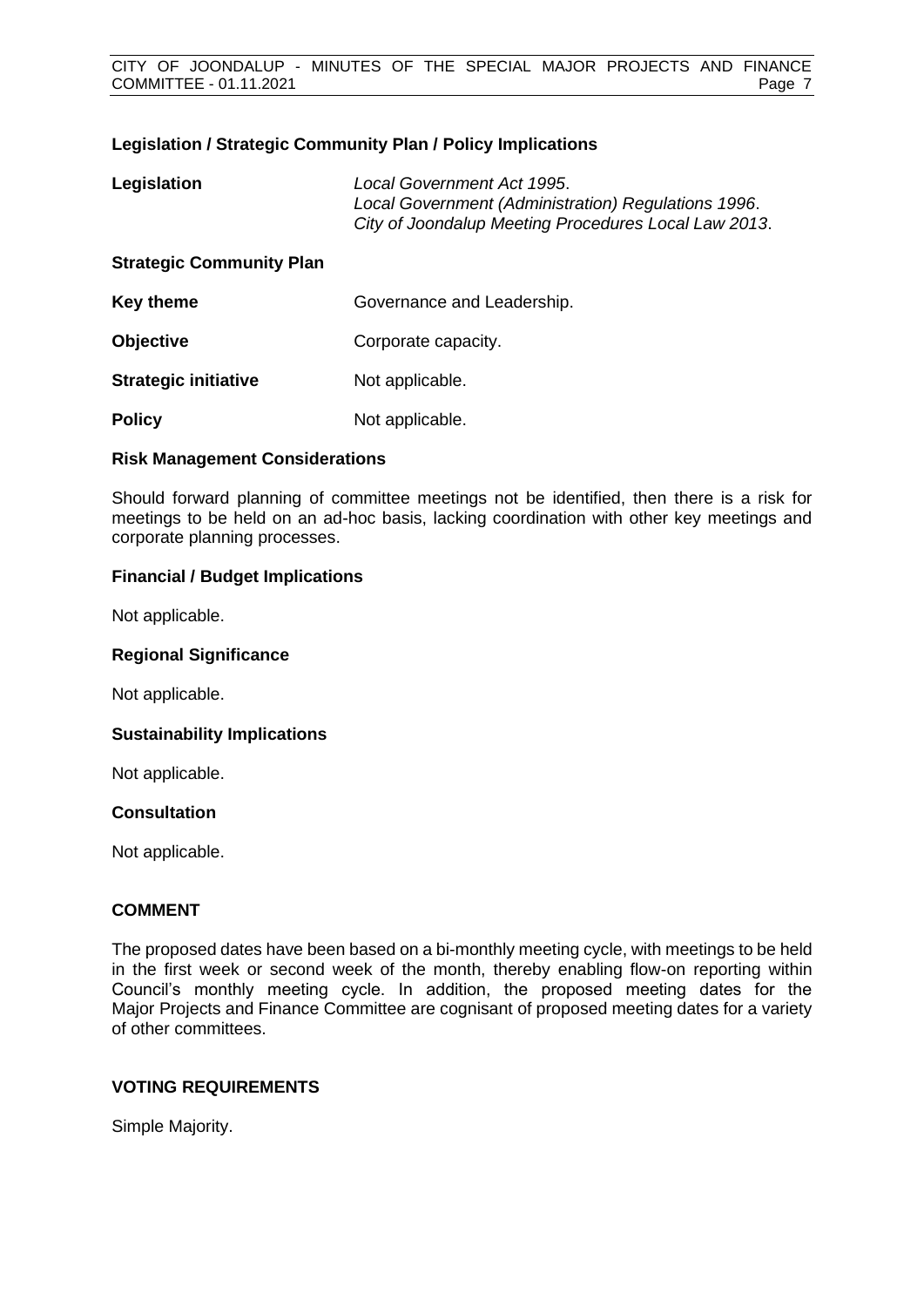### **Legislation / Strategic Community Plan / Policy Implications**

| Legislation                     | Local Government Act 1995.<br>Local Government (Administration) Regulations 1996.<br>City of Joondalup Meeting Procedures Local Law 2013. |
|---------------------------------|-------------------------------------------------------------------------------------------------------------------------------------------|
| <b>Strategic Community Plan</b> |                                                                                                                                           |
| <b>Key theme</b>                | Governance and Leadership.                                                                                                                |
| <b>Objective</b>                | Corporate capacity.                                                                                                                       |
| <b>Strategic initiative</b>     | Not applicable.                                                                                                                           |
| <b>Policy</b>                   | Not applicable.                                                                                                                           |

### **Risk Management Considerations**

Should forward planning of committee meetings not be identified, then there is a risk for meetings to be held on an ad-hoc basis, lacking coordination with other key meetings and corporate planning processes.

### **Financial / Budget Implications**

Not applicable.

### **Regional Significance**

Not applicable.

### **Sustainability Implications**

Not applicable.

### **Consultation**

Not applicable.

### **COMMENT**

The proposed dates have been based on a bi-monthly meeting cycle, with meetings to be held in the first week or second week of the month, thereby enabling flow-on reporting within Council's monthly meeting cycle. In addition, the proposed meeting dates for the Major Projects and Finance Committee are cognisant of proposed meeting dates for a variety of other committees.

### **VOTING REQUIREMENTS**

Simple Majority.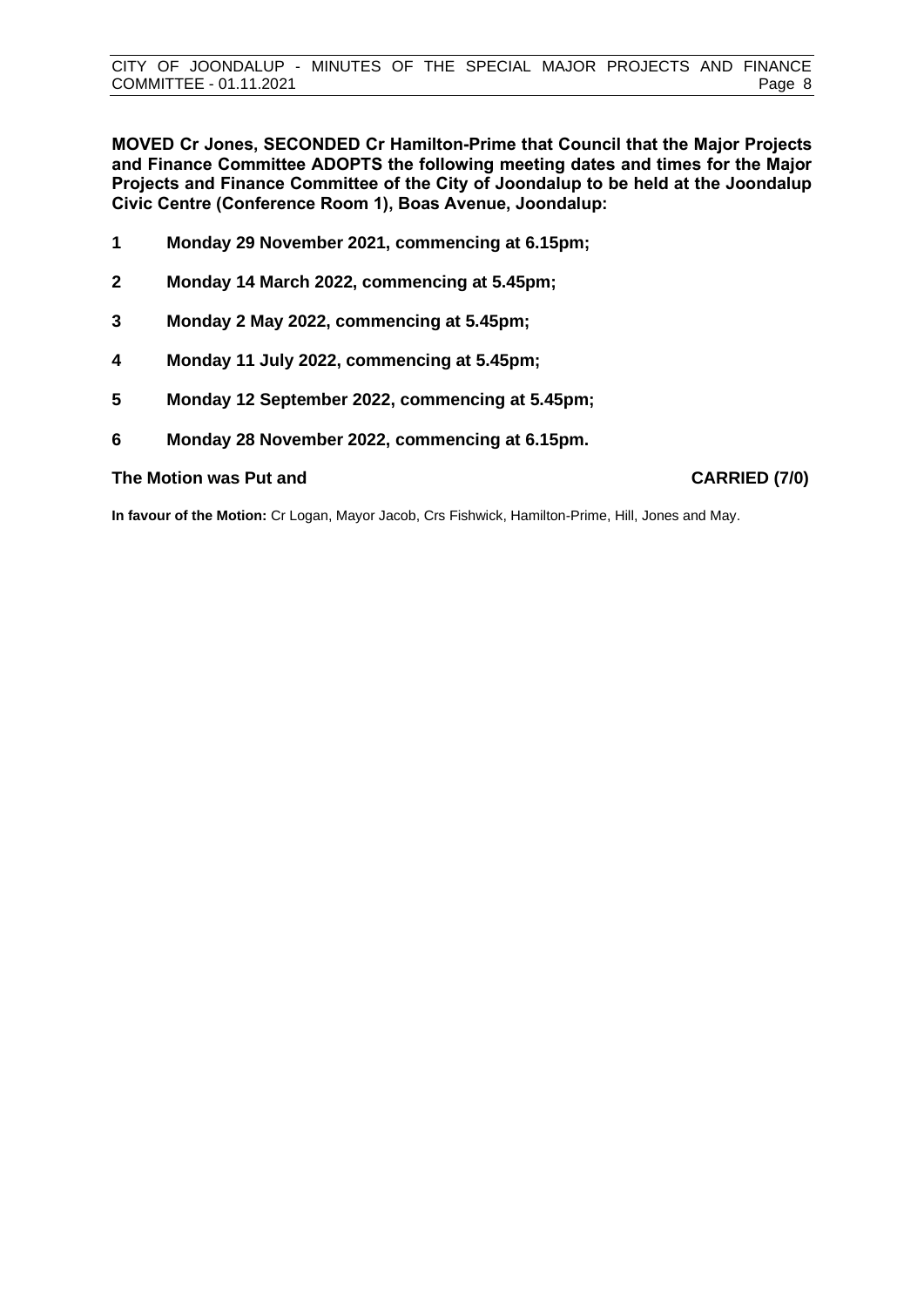**MOVED Cr Jones, SECONDED Cr Hamilton-Prime that Council that the Major Projects and Finance Committee ADOPTS the following meeting dates and times for the Major Projects and Finance Committee of the City of Joondalup to be held at the Joondalup Civic Centre (Conference Room 1), Boas Avenue, Joondalup:**

- **1 Monday 29 November 2021, commencing at 6.15pm;**
- **2 Monday 14 March 2022, commencing at 5.45pm;**
- **3 Monday 2 May 2022, commencing at 5.45pm;**
- **4 Monday 11 July 2022, commencing at 5.45pm;**
- **5 Monday 12 September 2022, commencing at 5.45pm;**
- **6 Monday 28 November 2022, commencing at 6.15pm.**

### **The Motion was Put and CARRIED (7/0)**

**In favour of the Motion:** Cr Logan, Mayor Jacob, Crs Fishwick, Hamilton-Prime, Hill, Jones and May.